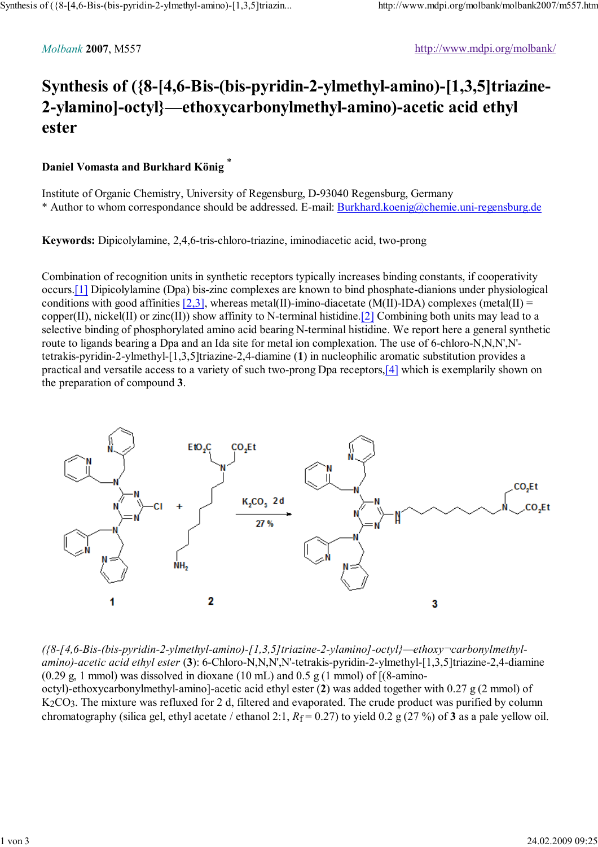## **Synthesis of ({8-[4,6-Bis-(bis-pyridin-2-ylmethyl-amino)-[1,3,5]triazine-2-ylamino]-octyl}—ethoxycarbonylmethyl-amino)-acetic acid ethyl ester**

## **Daniel Vomasta and Burkhard König** \*

Institute of Organic Chemistry, University of Regensburg, D-93040 Regensburg, Germany \* Author to whom correspondance should be addressed. E-mail: Burkhard.koenig@chemie.uni-regensburg.de

**Keywords:** Dipicolylamine, 2,4,6-tris-chloro-triazine, iminodiacetic acid, two-prong

Combination of recognition units in synthetic receptors typically increases binding constants, if cooperativity occurs.[1] Dipicolylamine (Dpa) bis-zinc complexes are known to bind phosphate-dianions under physiological conditions with good affinities  $[2,3]$ , whereas metal(II)-imino-diacetate (M(II)-IDA) complexes (metal(II) = copper(II), nickel(II) or zinc(II)) show affinity to N-terminal histidine. [2] Combining both units may lead to a selective binding of phosphorylated amino acid bearing N-terminal histidine. We report here a general synthetic route to ligands bearing a Dpa and an Ida site for metal ion complexation. The use of 6-chloro-N,N,N',N' tetrakis-pyridin-2-ylmethyl-[1,3,5]triazine-2,4-diamine (**1**) in nucleophilic aromatic substitution provides a practical and versatile access to a variety of such two-prong Dpa receptors,[4] which is exemplarily shown on the preparation of compound **3**.



*({8-[4,6-Bis-(bis-pyridin-2-ylmethyl-amino)-[1,3,5]triazine-2-ylamino]-octyl}—ethoxy¬carbonylmethylamino)-acetic acid ethyl ester* (**3**): 6-Chloro-N,N,N',N'-tetrakis-pyridin-2-ylmethyl-[1,3,5]triazine-2,4-diamine  $(0.29 \text{ g}, 1 \text{ mmol})$  was dissolved in dioxane  $(10 \text{ mL})$  and  $0.5 \text{ g}$   $(1 \text{ mmol})$  of  $[(8\text{-}\text{amino} - \text{m}]\text{ m}$ octyl)-ethoxycarbonylmethyl-amino]-acetic acid ethyl ester (**2**) was added together with 0.27 g (2 mmol) of K2CO3. The mixture was refluxed for 2 d, filtered and evaporated. The crude product was purified by column chromatography (silica gel, ethyl acetate / ethanol 2:1,  $R_f = 0.27$ ) to yield 0.2 g (27 %) of **3** as a pale yellow oil.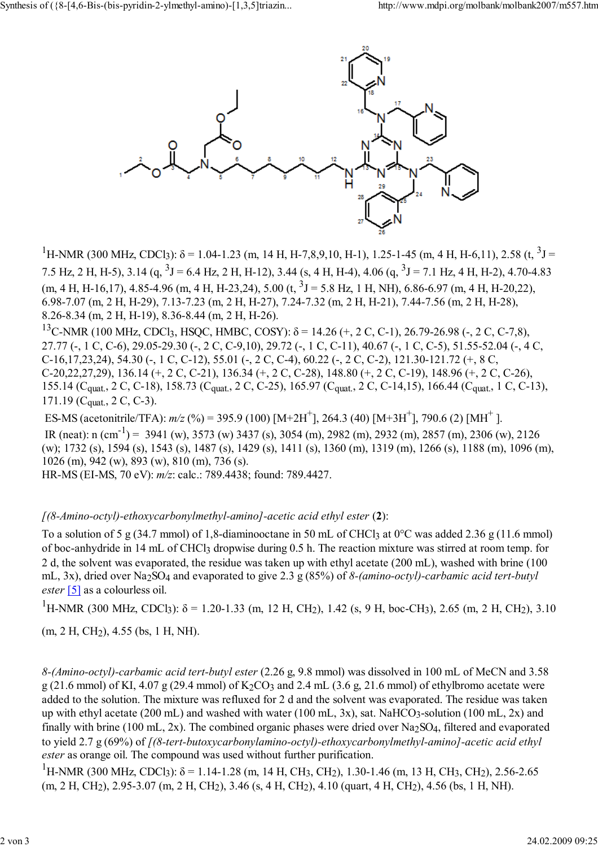

<sup>1</sup>H-NMR (300 MHz, CDCl<sub>3</sub>):  $\delta$  = 1.04-1.23 (m, 14 H, H-7,8,9,10, H-1), 1.25-1-45 (m, 4 H, H-6,11), 2.58 (t, <sup>3</sup>J = 7.5 Hz, 2 H, H-5), 3.14 (q,  $3J = 6.4$  Hz, 2 H, H-12), 3.44 (s, 4 H, H-4), 4.06 (q,  $3J = 7.1$  Hz, 4 H, H-2), 4.70-4.83  $(m, 4 H, H-16, 17), 4.85-4.96$   $(m, 4 H, H-23, 24), 5.00$   $(t, \frac{3}{5}J = 5.8$  Hz, 1 H, NH), 6.86-6.97  $(m, 4 H, H-20, 22),$ 6.98-7.07 (m, 2 H, H-29), 7.13-7.23 (m, 2 H, H-27), 7.24-7.32 (m, 2 H, H-21), 7.44-7.56 (m, 2 H, H-28), 8.26-8.34 (m, 2 H, H-19), 8.36-8.44 (m, 2 H, H-26). <sup>13</sup>C-NMR (100 MHz, CDCl<sub>3</sub>, HSQC, HMBC, COSY): δ = 14.26 (+, 2 C, C-1), 26.79-26.98 (-, 2 C, C-7,8),

27.77 (-, 1 C, C-6), 29.05-29.30 (-, 2 C, C-9,10), 29.72 (-, 1 C, C-11), 40.67 (-, 1 C, C-5), 51.55-52.04 (-, 4 C, C-16,17,23,24), 54.30 (-, 1 C, C-12), 55.01 (-, 2 C, C-4), 60.22 (-, 2 C, C-2), 121.30-121.72 (+, 8 C, C-20,22,27,29), 136.14 (+, 2 C, C-21), 136.34 (+, 2 C, C-28), 148.80 (+, 2 C, C-19), 148.96 (+, 2 C, C-26), 155.14 (Cquat., 2 C, C-18), 158.73 (Cquat., 2 C, C-25), 165.97 (Cquat., 2 C, C-14,15), 166.44 (Cquat., 1 C, C-13),  $171.19$  (C<sub>quat.</sub>, 2 C, C-3).

ES-MS (acetonitrile/TFA):  $m/z$  (%) = 395.9 (100) [M+2H<sup>+</sup>], 264.3 (40) [M+3H<sup>+</sup>], 790.6 (2) [MH<sup>+</sup>]. IR (neat): n (cm<sup>-1</sup>) = 3941 (w), 3573 (w) 3437 (s), 3054 (m), 2982 (m), 2932 (m), 2857 (m), 2306 (w), 2126 (w); 1732 (s), 1594 (s), 1543 (s), 1487 (s), 1429 (s), 1411 (s), 1360 (m), 1319 (m), 1266 (s), 1188 (m), 1096 (m), 1026 (m), 942 (w), 893 (w), 810 (m), 736 (s).

HR-MS (EI-MS, 70 eV): *m/z*: calc.: 789.4438; found: 789.4427.

## *[(8-Amino-octyl)-ethoxycarbonylmethyl-amino]-acetic acid ethyl ester* (**2**):

To a solution of 5 g (34.7 mmol) of 1,8-diaminooctane in 50 mL of CHCl3 at  $0^{\circ}$ C was added 2.36 g (11.6 mmol) of boc-anhydride in 14 mL of CHCl3 dropwise during 0.5 h. The reaction mixture was stirred at room temp. for 2 d, the solvent was evaporated, the residue was taken up with ethyl acetate (200 mL), washed with brine (100 mL, 3x), dried over Na2SO4 and evaporated to give 2.3 g (85%) of *8-(amino-octyl)-carbamic acid tert-butyl ester* [5] as a colourless oil.

<sup>1</sup>H-NMR (300 MHz, CDCl<sub>3</sub>):  $\delta$  = 1.20-1.33 (m, 12 H, CH<sub>2</sub>), 1.42 (s, 9 H, boc-CH<sub>3</sub>), 2.65 (m, 2 H, CH<sub>2</sub>), 3.10

(m, 2 H, CH2), 4.55 (bs, 1 H, NH).

*8-(Amino-octyl)-carbamic acid tert-butyl ester* (2.26 g, 9.8 mmol) was dissolved in 100 mL of MeCN and 3.58  $g(21.6 \text{ mmol})$  of KI, 4.07 g (29.4 mmol) of K<sub>2</sub>CO<sub>3</sub> and 2.4 mL (3.6 g, 21.6 mmol) of ethylbromo acetate were added to the solution. The mixture was refluxed for 2 d and the solvent was evaporated. The residue was taken up with ethyl acetate (200 mL) and washed with water (100 mL, 3x), sat. NaHCO3-solution (100 mL, 2x) and finally with brine (100 mL, 2x). The combined organic phases were dried over Na<sub>2</sub>SO<sub>4</sub>, filtered and evaporated to yield 2.7 g (69%) of *[(8-tert-butoxycarbonylamino-octyl)-ethoxycarbonylmethyl-amino]-acetic acid ethyl ester* as orange oil. The compound was used without further purification.

<sup>1</sup>H-NMR (300 MHz, CDCl<sub>3</sub>): δ = 1.14-1.28 (m, 14 H, CH<sub>3</sub>, CH<sub>2</sub>), 1.30-1.46 (m, 13 H, CH<sub>3</sub>, CH<sub>2</sub>), 2.56-2.65 (m, 2 H, CH2), 2.95-3.07 (m, 2 H, CH2), 3.46 (s, 4 H, CH2), 4.10 (quart, 4 H, CH2), 4.56 (bs, 1 H, NH).